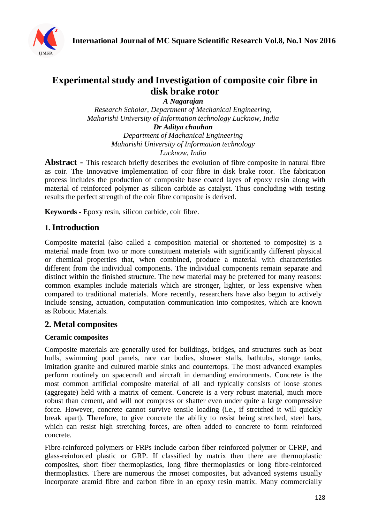

# **Experimental study and Investigation of composite coir fibre in disk brake rotor**

*A Nagarajan*

*Research Scholar, Department of Mechanical Engineering, Maharishi University of Information technology Lucknow, India Dr Aditya chauhan*

*Department of Machanical Engineering Maharishi University of Information technology Lucknow, India*

**Abstract -** This research briefly describes the evolution of fibre composite in natural fibre as coir. The Innovative implementation of coir fibre in disk brake rotor. The fabrication process includes the production of composite base coated layes of epoxy resin along with material of reinforced polymer as silicon carbide as catalyst. Thus concluding with testing results the perfect strength of the coir fibre composite is derived.

**Keywords -** Epoxy resin, silicon carbide, coir fibre.

### **1. Introduction**

Composite material (also called a composition material or shortened to composite) is a material made from two or more constituent materials with significantly different physical or chemical properties that, when combined, produce a material with characteristics different from the individual components. The individual components remain separate and distinct within the finished structure. The new material may be preferred for many reasons: common examples include materials which are stronger, lighter, or less expensive when compared to traditional materials. More recently, researchers have also begun to actively include sensing, actuation, computation communication into composites, which are known as Robotic Materials.

### **2. Metal composites**

### **Ceramic composites**

Composite materials are generally used for buildings, bridges, and structures such as boat hulls, swimming pool panels, race car bodies, shower stalls, bathtubs, storage tanks, imitation granite and cultured marble sinks and countertops. The most advanced examples perform routinely on spacecraft and aircraft in demanding environments. Concrete is the most common artificial composite material of all and typically consists of loose stones (aggregate) held with a matrix of cement. Concrete is a very robust material, much more robust than cement, and will not compress or shatter even under quite a large compressive force. However, concrete cannot survive tensile loading (i.e., if stretched it will quickly break apart). Therefore, to give concrete the ability to resist being stretched, steel bars, which can resist high stretching forces, are often added to concrete to form reinforced concrete.

Fibre-reinforced polymers or FRPs include carbon fiber reinforced polymer or CFRP, and glass-reinforced plastic or GRP. If classified by matrix then there are thermoplastic composites, short fiber thermoplastics, long fibre thermoplastics or long fibre-reinforced thermoplastics. There are numerous the rmoset composites, but advanced systems usually incorporate aramid fibre and carbon fibre in an epoxy resin matrix. Many commercially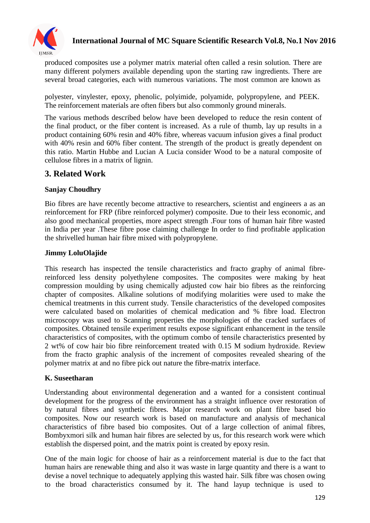

# **International Journal of MC Square Scientific Research Vol.8, No.1 Nov 2016**

produced composites use a polymer matrix material often called a resin solution. There are many different polymers available depending upon the starting raw ingredients. There are several broad categories, each with numerous variations. The most common are known as

polyester, vinylester, epoxy, phenolic, polyimide, polyamide, polypropylene, and PEEK. The reinforcement materials are often fibers but also commonly ground minerals.

The various methods described below have been developed to reduce the resin content of the final product, or the fiber content is increased. As a rule of thumb, lay up results in a product containing 60% resin and 40% fibre, whereas vacuum infusion gives a final product with 40% resin and 60% fiber content. The strength of the product is greatly dependent on this ratio. Martin Hubbe and Lucian A Lucia consider Wood to be a natural composite of cellulose fibres in a matrix of lignin.

### **3. Related Work**

### **Sanjay Choudhry**

Bio fibres are have recently become attractive to researchers, scientist and engineers a as an reinforcement for FRP (fibre reinforced polymer) composite. Due to their less economic, and also good mechanical properties, more aspect strength .Four tons of human hair fibre wasted in India per year .These fibre pose claiming challenge In order to find profitable application the shrivelled human hair fibre mixed with polypropylene.

### **Jimmy LoluOlajide**

This research has inspected the tensile characteristics and fracto graphy of animal fibrereinforced less density polyethylene composites. The composites were making by heat compression moulding by using chemically adjusted cow hair bio fibres as the reinforcing chapter of composites. Alkaline solutions of modifying molarities were used to make the chemical treatments in this current study. Tensile characteristics of the developed composites were calculated based on molarities of chemical medication and % fibre load. Electron microscopy was used to Scanning properties the morphologies of the cracked surfaces of composites. Obtained tensile experiment results expose significant enhancement in the tensile characteristics of composites, with the optimum combo of tensile characteristics presented by 2 wt% of cow hair bio fibre reinforcement treated with 0.15 M sodium hydroxide. Review from the fracto graphic analysis of the increment of composites revealed shearing of the polymer matrix at and no fibre pick out nature the fibre-matrix interface.

#### **K. Suseetharan**

Understanding about environmental degeneration and a wanted for a consistent continual development for the progress of the environment has a straight influence over restoration of by natural fibres and synthetic fibres. Major research work on plant fibre based bio composites. Now our research work is based on manufacture and analysis of mechanical characteristics of fibre based bio composites. Out of a large collection of animal fibres, Bombyxmori silk and human hair fibres are selected by us, for this research work were which establish the dispersed point, and the matrix point is created by epoxy resin.

One of the main logic for choose of hair as a reinforcement material is due to the fact that human hairs are renewable thing and also it was waste in large quantity and there is a want to devise a novel technique to adequately applying this wasted hair. Silk fibre was chosen owing to the broad characteristics consumed by it. The hand layup technique is used to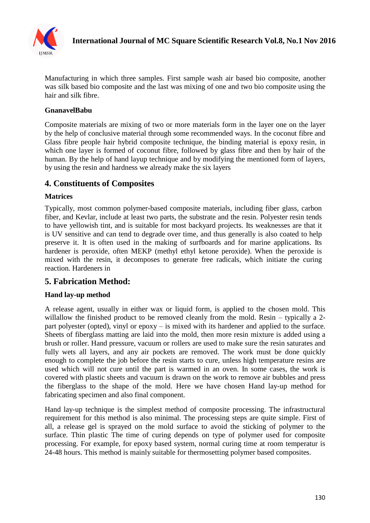

Manufacturing in which three samples. First sample wash air based bio composite, another was silk based bio composite and the last was mixing of one and two bio composite using the hair and silk fibre.

#### **GnanavelBabu**

Composite materials are mixing of two or more materials form in the layer one on the layer by the help of conclusive material through some recommended ways. In the coconut fibre and Glass fibre people hair hybrid composite technique, the binding material is epoxy resin, in which one layer is formed of coconut fibre, followed by glass fibre and then by hair of the human. By the help of hand layup technique and by modifying the mentioned form of layers, by using the resin and hardness we already make the six layers

### **4. Constituents of Composites**

#### **Matrices**

Typically, most common polymer-based composite materials, including fiber glass, carbon fiber, and Kevlar, include at least two parts, the substrate and the resin. Polyester resin tends to have yellowish tint, and is suitable for most backyard projects. Its weaknesses are that it is UV sensitive and can tend to degrade over time, and thus generally is also coated to help preserve it. It is often used in the making of surfboards and for marine applications. Its hardener is peroxide, often MEKP (methyl ethyl ketone peroxide). When the peroxide is mixed with the resin, it decomposes to generate free radicals, which initiate the curing reaction. Hardeners in

### **5. Fabrication Method:**

#### **Hand lay-up method**

A release agent, usually in either wax or liquid form, is applied to the chosen mold. This willallow the finished product to be removed cleanly from the mold. Resin – typically a 2part polyester (opted), vinyl or epoxy – is mixed with its hardener and applied to the surface. Sheets of fiberglass matting are laid into the mold, then more resin mixture is added using a brush or roller. Hand pressure, vacuum or rollers are used to make sure the resin saturates and fully wets all layers, and any air pockets are removed. The work must be done quickly enough to complete the job before the resin starts to cure, unless high temperature resins are used which will not cure until the part is warmed in an oven. In some cases, the work is covered with plastic sheets and vacuum is drawn on the work to remove air bubbles and press the fiberglass to the shape of the mold. Here we have chosen Hand lay-up method for fabricating specimen and also final component.

Hand lay-up technique is the simplest method of composite processing. The infrastructural requirement for this method is also minimal. The processing steps are quite simple. First of all, a release gel is sprayed on the mold surface to avoid the sticking of polymer to the surface. Thin plastic The time of curing depends on type of polymer used for composite processing. For example, for epoxy based system, normal curing time at room temperatur is 24-48 hours. This method is mainly suitable for thermosetting polymer based composites.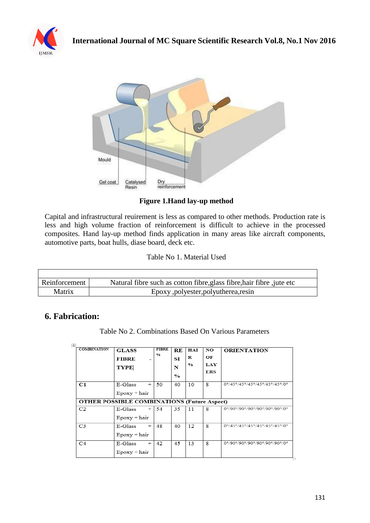



**Figure 1.Hand lay-up method**

Capital and infrastructural reuirement is less as compared to other methods. Production rate is less and high volume fraction of reinforcement is difficult to achieve in the processed composites. Hand lay-up method finds application in many areas like aircraft components, automotive parts, boat hulls, diase board, deck etc.

Table No 1. Material Used

| Reinforcement | Natural fibre such as cotton fibre, glass fibre, hair fibre, jute etc |
|---------------|-----------------------------------------------------------------------|
| Matrix        | Epoxy, polyester, polyutherea, resin                                  |

# **6. Fabrication:**

 $\blacksquare$ 

Table No 2. Combinations Based On Various Parameters

| 匣<br><b>COMBINATION</b> | <b>GLASS</b>                                       | <b>FIBRE</b> | RE             | HAI           | NO  | <b>ORIENTATION</b>            |
|-------------------------|----------------------------------------------------|--------------|----------------|---------------|-----|-------------------------------|
|                         | <b>FIBRE</b>                                       | 0/6          | ST             | R             | ОF  |                               |
|                         | <b>TYPE</b>                                        |              | N              | $\frac{0}{0}$ | LAY |                               |
|                         |                                                    |              | $\mathbf{O}_0$ |               | ERS |                               |
| C1                      | E-Glass<br>$^{+}$                                  | 50           | 40             | 10            | 8   | 0°/45°/45°/45°/45°/45°/0°     |
|                         | $E$ poxy + hair                                    |              |                |               |     |                               |
|                         | <b>OTHER POSSIBLE COMBINATIONS (Future Aspect)</b> |              |                |               |     |                               |
| C <sub>2</sub>          | E-Glass<br>$+$                                     | 54           | 35             | 11            | 8   | 0°/90°/90°/90°/90°/90°/90°/0° |
|                         | $E$ poxy + hair                                    |              |                |               |     |                               |
| C <sub>3</sub>          | E-Glass<br>$^{+}$                                  | 48           | 40             | 12            | 8   | 0°/45°/45°/45°/45°/45°/0°     |
|                         | $E$ poxy + hair                                    |              |                |               |     |                               |
| C <sub>4</sub>          | $^{+}$<br>E-Glass                                  | 42           | 45             | 13            | 8   | 0°/90°/90°/90°/90°/90°/90°/0° |
|                         | $E$ poxy + hair                                    |              |                |               |     |                               |

٦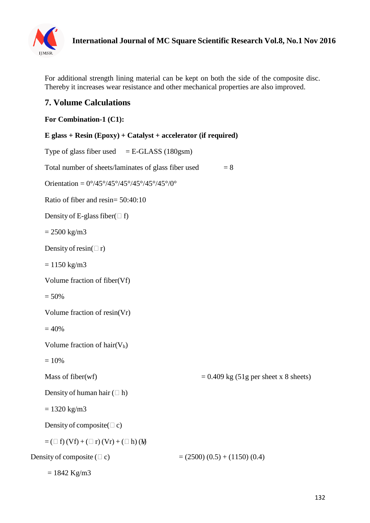

For additional strength lining material can be kept on both the side of the composite disc. Thereby it increases wear resistance and other mechanical properties are also improved.

# **7. Volume Calculations**

### **For Combination-1 (C1):**

```
E glass + Resin (Epoxy) + Catalyst + accelerator (if required)
    Type of glass fiber used = E-GLASS (180gsm)
    Total number of sheets/laminates of glass fiber used = 8Orientation = 0^{\circ}/45^{\circ}/45^{\circ}/45^{\circ}/45^{\circ}/45^{\circ}/0^{\circ}Ratio of fiber and resin= 50:40:10
    Density of E-glass fiber(\Box f)
    = 2500 \text{ kg/m}3
    Density of resin(\Boxr)
    = 1150 \text{ kg/m}3
    Volume fraction of fiber(Vf)
    = 50%Volume fraction of resin(Vr)
    = 40%Volume fraction of hair(V<sub>h</sub>)= 10%Mass of fiber(wf) = 0.409 \text{ kg} (51g \text{ per sheet x } 8 \text{ sheets})Density of human hair (\Box h)= 1320 \text{ kg/m}3
    Density of composite(\Box c)
    = ( \Box f) (Vf) + ( \Box r) (Vr) + ( \Box h) (M)
Density of composite (\Box c) = (2500) (0.5) + (1150) (0.4)
     = 1842 Kg/m3
```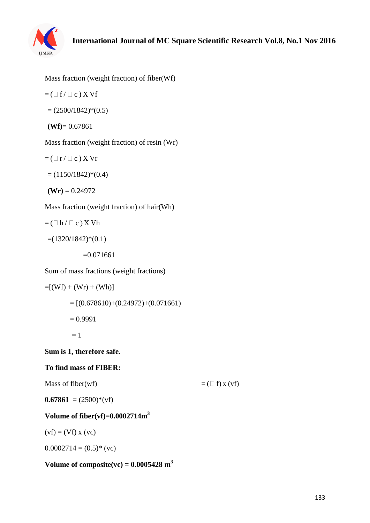

Mass fraction (weight fraction) of fiber(Wf)

$$
= (\Box f / \Box c) X Vf
$$

$$
= (2500/1842)^*(0.5)
$$

$$
(\mathbf{Wf}) = 0.67861
$$

Mass fraction (weight fraction) of resin (Wr)

$$
= (\Box r / \Box c) X Vr
$$

 $= (1150/1842)*(0.4)$ 

 $(Wr) = 0.24972$ 

Mass fraction (weight fraction) of hair(Wh)

 $=$  ( $\Box$  h /  $\Box$  c) X Vh

 $=(1320/1842)*(0.1)$ 

 $=0.071661$ 

Sum of mass fractions (weight fractions)

$$
=[(Wf) + (Wr) + (Wh)]
$$
  
= [(0.678610)+(0.24972)+(0.071661)  
= 0.9991  
= 1

### **Sum is 1, therefore safe.**

#### **To find mass of FIBER:**

Mass of fiber(wf)  $=$  ( $\Box$  f) x (vf)

**0.67861** =  $(2500)$ <sup>\*</sup>(vf)

### **Volume of fiber(vf)**=**0.0002714m<sup>3</sup>**

 $(vf) = (Vf) x (vc)$ 

 $0.0002714 = (0.5)^*$  (vc)

### $\bf{Volume of composite}(vc) = 0.0005428 \ m^3$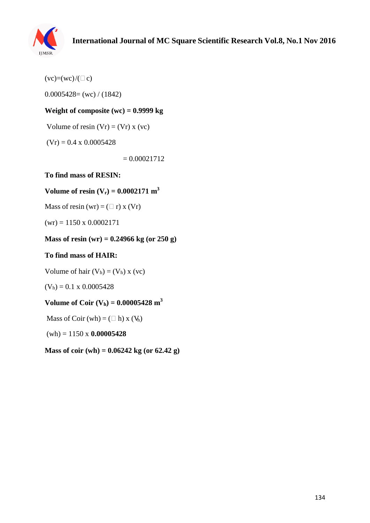

 $(vc)=(wc)/(\square c)$ 

 $0.0005428=$  (wc) / (1842)

### **Weight of composite (wc) = 0.9999 kg**

Volume of resin  $(Vr) = (Vr)x$  (vc)

 $(Vr) = 0.4 \times 0.0005428$ 

 $= 0.00021712$ 

**To find mass of RESIN:**

### **Volume of resin**  $(V_r) = 0.0002171 \text{ m}^3$

Mass of resin (wr) =  $(\square$  r) x (Vr)

 $(wr) = 1150 \times 0.0002171$ 

### **Mass of resin (wr) = 0.24966 kg (or 250 g)**

#### **To find mass of HAIR:**

Volume of hair  $(V_h) = (V_h) x (vc)$ 

 $(V<sub>h</sub>) = 0.1 \times 0.0005428$ 

### $\bf{Volume of } Coir (V_h) = 0.00005428 m^3$

Mass of Coir  $(wh) = (\Box h) x (V_h)$ 

(wh) = 1150 x **0.00005428**

**Mass of coir (wh) = 0.06242 kg (or 62.42 g)**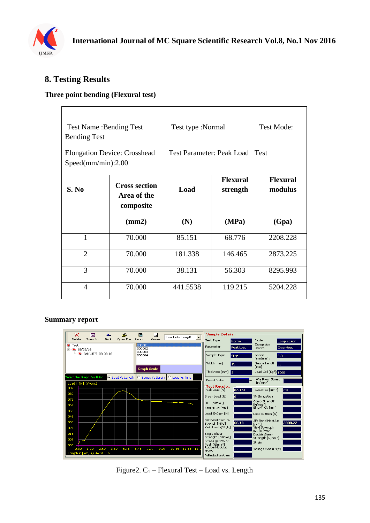

# **8. Testing Results**

### **Three point bending (Flexural test)**

| <b>Test Name: Bending Test</b><br><b>Bending Test</b><br><b>Elongation Device: Crosshead</b> |                                                  | Test type :Normal                   |         | <b>Test Mode:</b>          |  |
|----------------------------------------------------------------------------------------------|--------------------------------------------------|-------------------------------------|---------|----------------------------|--|
| Speed(mm/min):2.00                                                                           |                                                  | Test Parameter: Peak Load Test      |         |                            |  |
| S. No                                                                                        | <b>Cross section</b><br>Area of the<br>composite | <b>Flexural</b><br>Load<br>strength |         | <b>Flexural</b><br>modulus |  |
|                                                                                              | (mm2)                                            | (N)                                 | (MPa)   | (Gpa)                      |  |
| 1                                                                                            | 70.000                                           | 85.151                              | 68.776  | 2208.228                   |  |
| $\overline{2}$                                                                               | 70.000                                           | 181.338                             | 146.465 | 2873.225                   |  |
| 3                                                                                            | 70.000                                           | 38.131                              | 56.303  | 8295.993                   |  |
| 4                                                                                            | 70.000                                           | 441.5538                            | 119.215 | 5204.228                   |  |

#### **Summary report**



Figure 2.  $C_1$  – Flexural Test – Load vs. Length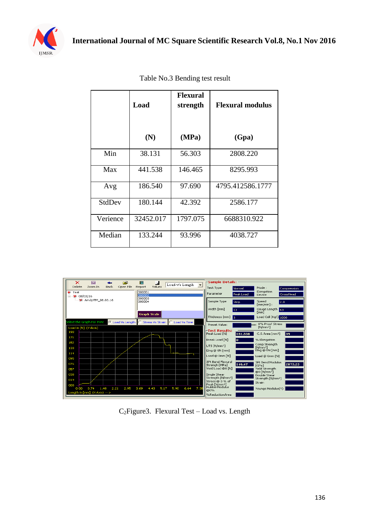

|          | Load      | <b>Flexural</b><br>strength | <b>Flexural modulus</b> |
|----------|-----------|-----------------------------|-------------------------|
|          | (N)       | (MPa)                       | (Gpa)                   |
| Min      | 38.131    | 56.303                      | 2808.220                |
| Max      | 441.538   | 146.465                     | 8295.993                |
| Avg      | 186.540   | 97.690                      | 4795.412586.1777        |
| StdDev   | 180.144   | 42.392                      | 2586.177                |
| Verience | 32452.017 | 1797.075                    | 6688310.922             |
| Median   | 133.244   | 93.996                      | 4038.727                |

Table No.3 Bending test result



C2Figure3. Flexural Test – Load vs. Length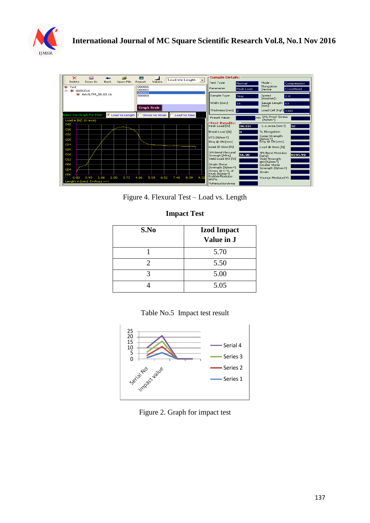

| ĉ<br>×<br>$\Box$                                      | 搞<br>Load v/s Length<br>$\overline{\phantom{0}}$ | <b>-Sample Details:</b>                                                                        |  |  |  |
|-------------------------------------------------------|--------------------------------------------------|------------------------------------------------------------------------------------------------|--|--|--|
| Open File<br>Delete<br>Zoom In<br>Back                | Values<br>Report                                 | <b>Test Type</b><br>Mode:<br>Normal<br>Compression                                             |  |  |  |
| <b>激</b> Test                                         | 000001<br>000002                                 | Elongation<br>Parameter<br>Peak Load<br>CrossHead<br>Device                                    |  |  |  |
| 白 ※ 08/03/16<br>※ Ariv\UTM 08.03.16                   | 000003<br>000004                                 | Sample Type<br>Speed                                                                           |  |  |  |
|                                                       |                                                  | 2.0<br>Strip<br>$[mm/min]$ :                                                                   |  |  |  |
|                                                       |                                                  | Width [mm]<br>Gauge Length 33<br>16<br>[mm]                                                    |  |  |  |
|                                                       | <b>Graph Scale</b>                               | Thickness [mm]<br>Load Cell [Kgf]: 1000<br>l2                                                  |  |  |  |
| C Load Vs Length<br>Select the Graph For Print        | <b>Stress Vs Strain</b><br>C Load Vs Time        |                                                                                                |  |  |  |
| Load in [N] (Y-Axis)                                  |                                                  | mm 0% Proof Stress<br>Preset Value:<br>EN/mm <sup>2</sup> 1                                    |  |  |  |
| 040                                                   |                                                  | ⊢Test Results:<br>Peak Load FN1<br>C.S.Area [mm <sup>2</sup> ]<br>32.<br>38.131                |  |  |  |
| 036                                                   |                                                  | Break Load [N]<br>% Elongation                                                                 |  |  |  |
| 032                                                   |                                                  | Comp Strength                                                                                  |  |  |  |
| 028                                                   |                                                  | UTS [N/mm <sup>2</sup> ]<br>$[N/mm^2]$<br>Elng @ 0N [mm]<br>Eing @ ON [mm]                     |  |  |  |
| 024                                                   |                                                  | Load @ 0mm [N]<br>Load @ 0mm [N]                                                               |  |  |  |
| 020                                                   |                                                  | 3Pt Bend Flexural                                                                              |  |  |  |
| 016                                                   |                                                  | 3Pt Bend Modulus<br>56.30<br>8295.99<br>Strengh [MPa]<br>[GPa]                                 |  |  |  |
| 012                                                   |                                                  | Yield Load @0 [N]<br>Yield Strenath<br>@0 [N/mm <sup>2</sup> ]                                 |  |  |  |
| 008                                                   |                                                  | Single Shear<br>Double Shear<br>Strength [N/mm <sup>2</sup> ]<br>Strength [N/mm <sup>2</sup> ] |  |  |  |
| 004                                                   |                                                  | Stress@0% of<br>Strain                                                                         |  |  |  |
| 000<br>2.80<br>3.73<br>0.93<br>1.86<br>0.00           | 4.66<br>6.52<br>7.46<br>8.39<br>9.32<br>5.59     | Peak [N/mm2]<br>  RubberModulus<br>Youngs Modulus(Y)                                           |  |  |  |
| ത0%<br>Length in [mm] (X-Axis) ---><br>%ReductionArea |                                                  |                                                                                                |  |  |  |

Figure 4. Flexural Test – Load vs. Length

### **Impact Test**

| S.No | <b>Izod Impact</b><br>Value in J |
|------|----------------------------------|
|      | 5.70                             |
|      | 5.50                             |
|      | 5.00                             |
|      | 5.05                             |





Figure 2. Graph for impact test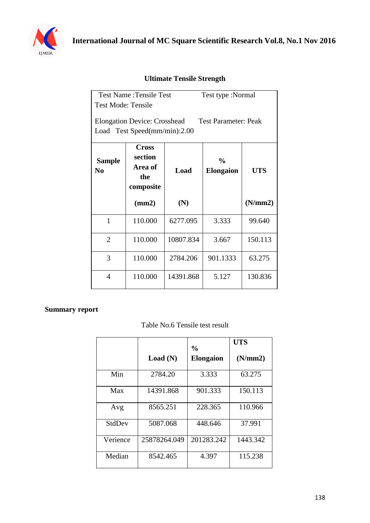

### **Ultimate Tensile Strength**

| <b>Test Name: Tensile Test</b>                                                                     |                                                        |           | Test type :Normal                 |            |  |  |
|----------------------------------------------------------------------------------------------------|--------------------------------------------------------|-----------|-----------------------------------|------------|--|--|
| Test Mode: Tensile                                                                                 |                                                        |           |                                   |            |  |  |
| <b>Elongation Device: Crosshead</b><br><b>Test Parameter: Peak</b><br>Load Test Speed(mm/min):2.00 |                                                        |           |                                   |            |  |  |
| <b>Sample</b><br>N <sub>0</sub>                                                                    | <b>Cross</b><br>section<br>Area of<br>the<br>composite | Load      | $\frac{0}{0}$<br><b>Elongaion</b> | <b>UTS</b> |  |  |
|                                                                                                    | (mm2)                                                  | (N)       |                                   | (N/mm 2)   |  |  |
| 1                                                                                                  | 110.000                                                | 6277.095  | 3.333                             | 99.640     |  |  |
| $\overline{2}$                                                                                     | 110.000                                                | 10807.834 | 3.667                             | 150.113    |  |  |
| 3                                                                                                  | 110.000                                                | 2784.206  | 901.1333                          | 63.275     |  |  |
| 4                                                                                                  | 110.000                                                | 14391.868 | 5.127                             | 130.836    |  |  |

### **Summary report**

### Table No.6 Tensile test result

|          |              | $\frac{0}{0}$    | <b>UTS</b> |
|----------|--------------|------------------|------------|
|          | Load(N)      | <b>Elongaion</b> | (N/mm 2)   |
| Min      | 2784.20      | 3.333            | 63.275     |
| Max      | 14391.868    | 901.333          | 150.113    |
| Avg      | 8565.251     | 228.365          | 110.966    |
| StdDev   | 5087.068     | 448.646          | 37.991     |
| Verience | 25878264.049 | 201283.242       | 1443.342   |
| Median   | 8542.465     | 4.397            | 115.238    |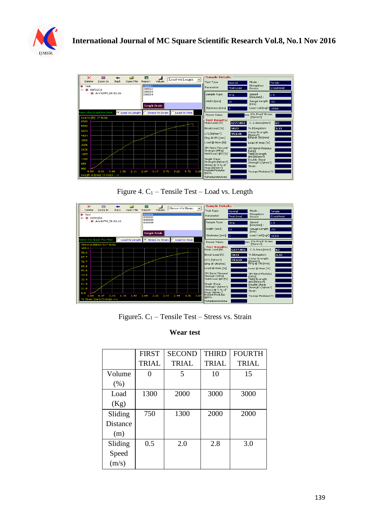



Figure 4.  $C_1$  – Tensile Test – Load vs. Length



Figure 5.  $C_1$  – Tensile Test – Stress vs. Strain

### **Wear test**

|                 | <b>FIRST</b>      | <b>SECOND</b> | <b>THIRD</b> | <b>FOURTH</b> |
|-----------------|-------------------|---------------|--------------|---------------|
|                 | <b>TRIAL</b>      | <b>TRIAL</b>  | <b>TRIAL</b> | <b>TRIAL</b>  |
| Volume          | $\mathbf{\Omega}$ | 5             | 10           | 15            |
| (% )            |                   |               |              |               |
| Load            | 1300              | 2000          | 3000         | 3000          |
| (Kg)            |                   |               |              |               |
| Sliding         | 750               | 1300          | 2000         | 2000          |
| <b>Distance</b> |                   |               |              |               |
| (m)             |                   |               |              |               |
| Sliding         | 0.5               | 2.0           | 2.8          | 3.0           |
| Speed           |                   |               |              |               |
| (m/s)           |                   |               |              |               |